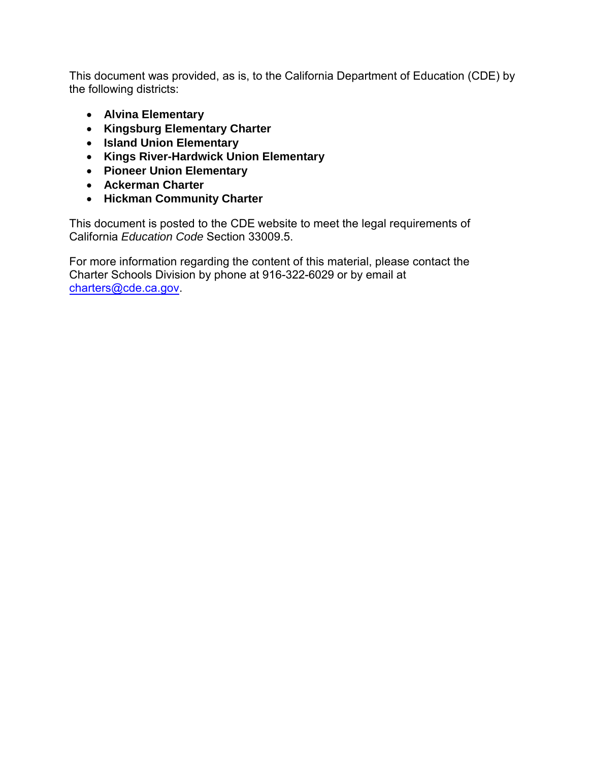This document was provided, as is, to the California Department of Education (CDE) by the following districts:

- **Alvina Elementary**
- **Kingsburg Elementary Charter**
- **Island Union Elementary**
- **Kings River-Hardwick Union Elementary**
- **Pioneer Union Elementary**
- **Ackerman Charter**
- **Hickman Community Charter**

This document is posted to the CDE website to meet the legal requirements of California *Education Code* Section 33009.5.

For more information regarding the content of this material, please contact the Charter Schools Division by phone at 916-322-6029 or by [email at](mailto:charters@cde.ca.gov)  charters@cde.ca.gov.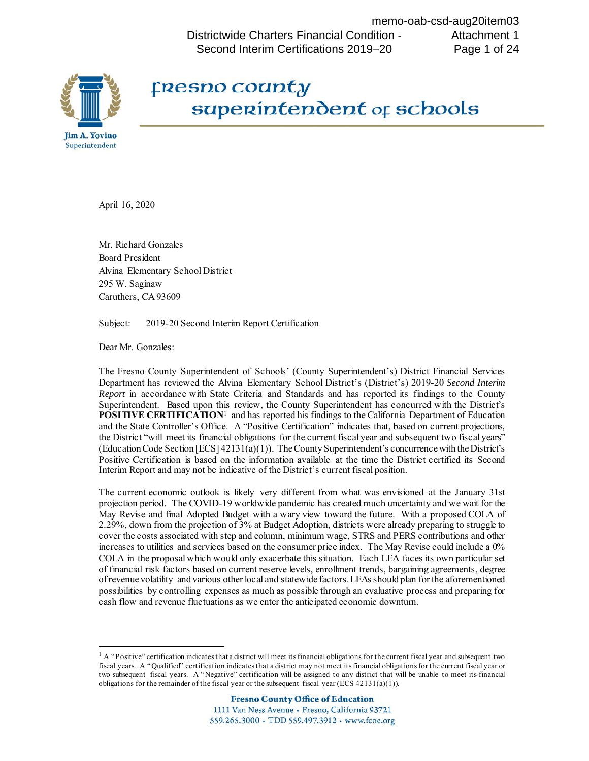Districtwide Charters Financial Condition - Second Interim Certifications 2019–20 memo-oab-csd-aug20item03 Attachment 1 Page 1 of 24



# **Fresno coanty**  $superinterdent or schools$

April 16, 2020

 Mr. Richard Gonzales Board President Alvina Elementary School District 295 W. Saginaw Caruthers, CA 93609

Subject: 2019-20 Second Interim Report Certification

Dear Mr. Gonzales:

**.** 

 The Fresno County Superintendent of Schools' (County Superintendent's) District Financial Services *Report* in accordance with State Criteria and Standards and has reported its findings to the County Superintendent. Based upon this review, the County Superintendent has concurred with the District's and the State Controller's Office. A "Positive Certification" indicates that, based on current projections, the District "will meet its financial obligations for the current fiscal year and subsequent two fiscal years" (Education Code Section [ECS] 42131(a)(1)). The County Superintendent's concurrence with the District's Positive Certification is based on the information available at the time the District certified its Second Interim Report and may not be indicative of the District's current fiscal position. Department has reviewed the Alvina Elementary School District's (District's) 2019-20 *Second Interim*  **POSITIVE CERTIFICATION**[1](#page-1-0) and has reported his findings to the California Department of Education

 projection period. The COVID-19 worldwide pandemic has created much uncertainty and we wait for the May Revise and final Adopted Budget with a wary view toward the future. With a proposed COLA of increases to utilities and services based on the consumer price index. The May Revise could include a 0% COLA in the proposal which would only exacerbate this situation. Each LEA faces its own particular set of revenue volatility and various other local and statewide factors. LEAs should plan for the aforementioned The current economic outlook is likely very different from what was envisioned at the January 31st 2.29%, down from the projection of 3% at Budget Adoption, districts were already preparing to struggle to cover the costs associated with step and column, minimum wage, STRS and PERS contributions and other of financial risk factors based on current reserve levels, enrollment trends, bargaining agreements, degree possibilities by controlling expenses as much as possible through an evaluative process and preparing for cash flow and revenue fluctuations as we enter the anticipated economic downturn.

<span id="page-1-0"></span> $<sup>1</sup>$  A "Positive" certification indicates that a district will meet its financial obligations for the current fiscal year and subsequent two</sup> two subsequent fiscal years. A "Negative" certification will be assigned to any district that will be unable to meet its financial obligations for the remainder of the fiscal year or the subsequent fiscal year (ECS  $42131(a)(1)$ ). fiscal years. A "Qualified" certification indicates that a district may not meet its financial obligations for the current fiscal year or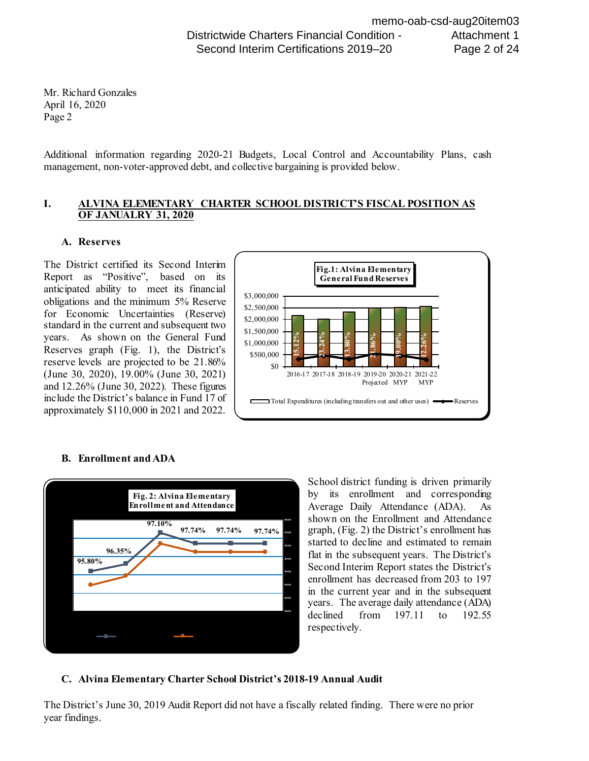Additional information regarding 2020-21 Budgets, Local Control and Accountability Plans, cash management, non-voter-approved debt, and collective bargaining is provided below.

#### **I. ALVINA ELEMENTARY CHARTER SCHOOL DISTRICT'S FISCAL POSITION AS OF JANUALRY 31, 2020**

#### **A. Reserves**

 obligations and the minimum 5% Reserve for Economic Uncertainties (Reserve) years. As shown on the General Fund reserve levels are projected to be 21.86% and 12.26% (June 30, 2022). These figures approximately \$110,000 in 2021 and 2022. The District certified its Second Interim Report as "Positive", based on its anticipated ability to meet its financial standard in the current and subsequent two Reserves graph (Fig. 1), the District's (June 30, 2020), 19.00% (June 30, 2021) include the District's balance in Fund 17 of





# **B. Enrollment and ADA**

 School district funding is driven primarily by its enrollment and corresponding shown on the Enrollment and Attendance Second Interim Report states the District's enrollment has decreased from 203 to 197 years. The average daily attendance (ADA) Average Daily Attendance (ADA). As graph, (Fig. 2) the District's enrollment has started to decline and estimated to remain flat in the subsequent years. The District's in the current year and in the subsequent declined from 197.11 to 192.55 respectively.

### **C. Alvina Elementary Charter School District's 2018-19 Annual Audit**

 year findings. The District's June 30, 2019 Audit Report did not have a fiscally related finding. There were no prior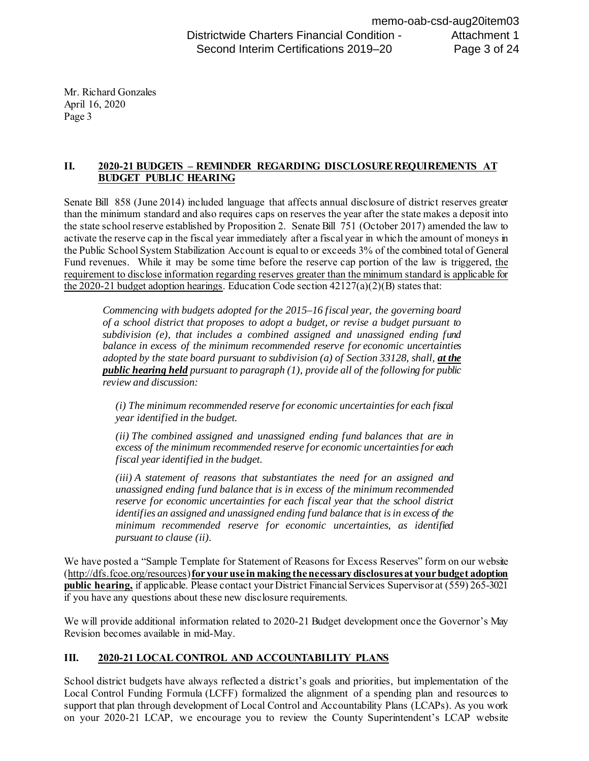### **II. 2020-21 BUDGETS – REMINDER REGARDING DISCLOSURE REQUIREMENTS AT BUDGET PUBLIC HEARING**

 Senate Bill 858 (June 2014) included language that affects annual disclosure of district reserves greater the state school reserve established by Proposition 2. Senate Bill 751 (October 2017) amended the law to Fund revenues. While it may be some time before the reserve cap portion of the law is triggered, the than the minimum standard and also requires caps on reserves the year after the state makes a deposit into activate the reserve cap in the fiscal year immediately after a fiscal year in which the amount of moneys in the Public School System Stabilization Account is equal to or exceeds 3% of the combined total of General requirement to disclose information regarding reserves greater than the minimum standard is applicable for the 2020-21 budget adoption hearings. Education Code section  $42127(a)(2)(B)$  states that:

 *Commencing with budgets adopted for the 2015–16 fiscal year, the governing board of a school district that proposes to adopt a budget, or revise a budget pursuant to subdivision (e), that includes a combined assigned and unassigned ending fund balance in excess of the minimum recommended reserve for economic uncertainties*  adopted by the state board pursuant to subdivision (a) of Section 33128, shall, *at the public hearing held pursuant to paragraph (1), provide all of the following for public review and discussion:* 

 *(i) The minimum recommended reserve for economic uncertainties for each fiscal year identified in the budget.* 

 *(ii) The combined assigned and unassigned ending fund balances that are in excess of the minimum recommended reserve for economic uncertainties for each fiscal year identified in the budget.* 

 *(iii) A statement of reasons that substantiates the need for an assigned and unassigned ending fund balance that is in excess of the minimum recommended*  reserve for economic uncertainties for each fiscal year that the school district  *identifies an assigned and unassigned ending fund balance that is in excess of the minimum recommended reserve for economic uncertainties, as identified pursuant to clause (ii).* 

 We have posted a "Sample Template for Statement of Reasons for Excess Reserves" form on our website [\(http://dfs.fcoe.org/resources](http://dfs.fcoe.org/resources)) **for your use in making the necessary disclosures at your budget adoption public hearing,** if applicable. Please contact your District Financial Services Supervisor at (559) 265-3021 if you have any questions about these new disclosure requirements.

 We will provide additional information related to 2020-21 Budget development once the Governor's May Revision becomes available in mid-May.

# **III. 2020-21 LOCAL CONTROL AND ACCOUNTABILITY PLANS**

 School district budgets have always reflected a district's goals and priorities, but implementation of the Local Control Funding Formula (LCFF) formalized the alignment of a spending plan and resources to support that plan through development of Local Control and Accountability Plans (LCAPs). As you work on your 2020-21 LCAP, we encourage you to review the County Superintendent's LCAP website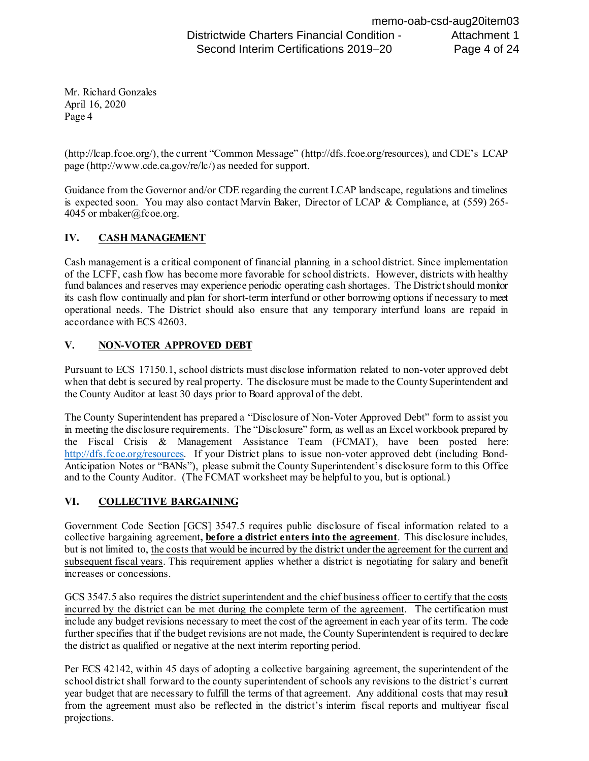(http://lcap.fcoe.org/), the current "Common Message" (http://dfs.fcoe.org/resources), and CDE's LCAP page (http://www.cde.ca.gov/re/lc/) as needed for support.

 is expected soon. You may also contact Marvin Baker, Director of LCAP & Compliance, at (559) 265- Guidance from the Governor and/or CDE regarding the current LCAP landscape, regulations and timelines 4045 or mbaker@fcoe.org.

# **IV. CASH MANAGEMENT**

 Cash management is a critical component of financial planning in a school district. Since implementation of the LCFF, cash flow has become more favorable for school districts. However, districts with healthy fund balances and reserves may experience periodic operating cash shortages. The District should monitor its cash flow continually and plan for short-term interfund or other borrowing options if necessary to meet operational needs. The District should also ensure that any temporary interfund loans are repaid in accordance with ECS 42603.

## **V. NON-VOTER APPROVED DEBT**

 the County Auditor at least 30 days prior to Board approval of the debt. Pursuant to ECS 17150.1, school districts must disclose information related to non-voter approved debt when that debt is secured by real property. The disclosure must be made to the County Superintendent and

[http://dfs.fcoe.org/resources.](http://dfs.fcoe.org/resources) If your District plans to issue non-voter approved debt (including Bond- and to the County Auditor. (The FCMAT worksheet may be helpful to you, but is optional.) The County Superintendent has prepared a "Disclosure of Non-Voter Approved Debt" form to assist you in meeting the disclosure requirements. The "Disclosure" form, as well as an Excel workbook prepared by the Fiscal Crisis & Management Assistance Team (FCMAT), have been posted here: Anticipation Notes or "BANs"), please submit the County Superintendent's disclosure form to this Office

# **VI. COLLECTIVE BARGAINING**

subsequent fiscal years. This requirement applies whether a district is negotiating for salary and benefit increases or concessions. Government Code Section [GCS] 3547.5 requires public disclosure of fiscal information related to a collective bargaining agreement**, before a district enters into the agreement**. This disclosure includes, but is not limited to, the costs that would be incurred by the district under the agreement for the current and

incurred by the district can be met during the complete term of the agreement. The certification must the district as qualified or negative at the next interim reporting period. GCS 3547.5 also requires the district superintendent and the chief business officer to certify that the costs include any budget revisions necessary to meet the cost of the agreement in each year of its term. The code further specifies that if the budget revisions are not made, the County Superintendent is required to declare

 Per ECS 42142, within 45 days of adopting a collective bargaining agreement, the superintendent of the year budget that are necessary to fulfill the terms of that agreement. Any additional costs that may result from the agreement must also be reflected in the district's interim fiscal reports and multiyear fiscal school district shall forward to the county superintendent of schools any revisions to the district's current projections.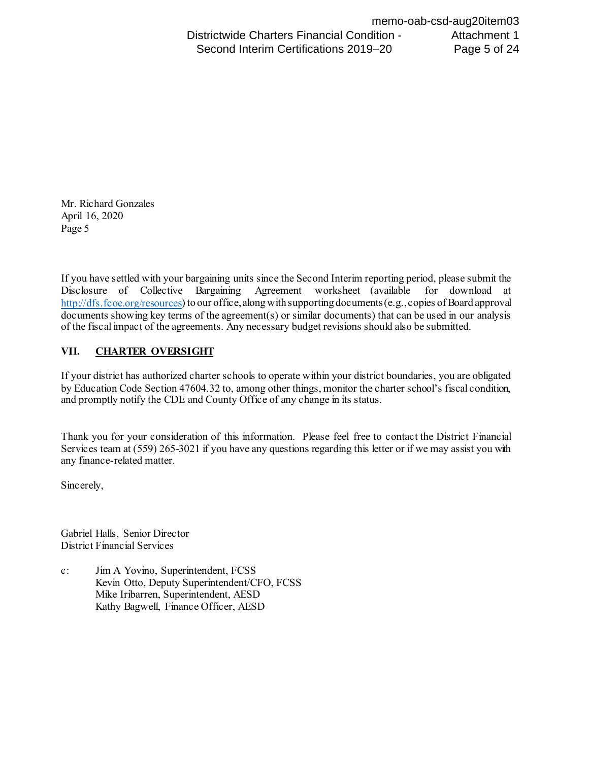Disclosure of Collective Bargaining Agreement worksheet (available for download at documents showing key terms of the agreement(s) or similar documents) that can be used in our analysis If you have settled with your bargaining units since the Second Interim reporting period, please submit the [http://dfs.fcoe.org/resources\)](http://dfs.fcoe.org/resources) to our office, along with supporting documents (e.g., copies of Board approval of the fiscal impact of the agreements. Any necessary budget revisions should also be submitted.

# **VII. CHARTER OVERSIGHT**

 and promptly notify the CDE and County Office of any change in its status. If your district has authorized charter schools to operate within your district boundaries, you are obligated by Education Code Section 47604.32 to, among other things, monitor the charter school's fiscal condition,

 Thank you for your consideration of this information. Please feel free to contact the District Financial Services team at (559) 265-3021 if you have any questions regarding this letter or if we may assist you with any finance-related matter.

Sincerely,

Gabriel Halls, Senior Director District Financial Services

 c: Jim A Yovino, Superintendent, FCSS Kevin Otto, Deputy Superintendent/CFO, FCSS Mike Iribarren, Superintendent, AESD Kathy Bagwell, Finance Officer, AESD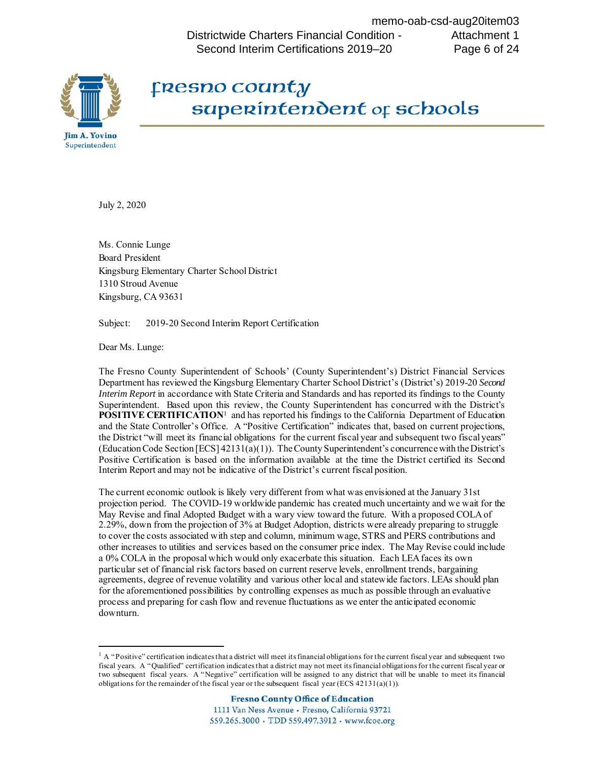Districtwide Charters Financial Condition - Second Interim Certifications 2019–20 memo-oab-csd-aug20item03 Attachment 1 Page 6 of 24



# **Fresno coanty**  $superinterdent of schools$

July 2, 2020

 Ms. Connie Lunge Board President Kingsburg Elementary Charter School District 1310 Stroud Avenue Kingsburg, CA 93631

Subject: 2019-20 Second Interim Report Certification

Dear Ms. Lunge:

**.** 

 The Fresno County Superintendent of Schools' (County Superintendent's) District Financial Services Superintendent. Based upon this review, the County Superintendent has concurred with the District's and the State Controller's Office. A "Positive Certification" indicates that, based on current projections, (Education Code Section [ECS] 42131(a)(1)). The County Superintendent's concurrence with the District's Positive Certification is based on the information available at the time the District certified its Second Interim Report and may not be indicative of the District's current fiscal position. Department has reviewed the Kingsburg Elementary Charter School District's (District's) 2019-20 *Second Interim Report* in accordance with State Criteria and Standards and has reported its findings to the County **POSITIVE CERTIFICATION**[1](#page-6-0) and has reported his findings to the California Department of Education the District "will meet its financial obligations for the current fiscal year and subsequent two fiscal years"

 projection period. The COVID-19 worldwide pandemic has created much uncertainty and we wait for the May Revise and final Adopted Budget with a wary view toward the future. With a proposed COLA of a 0% COLA in the proposal which would only exacerbate this situation. Each LEA faces its own The current economic outlook is likely very different from what was envisioned at the January 31st 2.29%, down from the projection of 3% at Budget Adoption, districts were already preparing to struggle to cover the costs associated with step and column, minimum wage, STRS and PERS contributions and other increases to utilities and services based on the consumer price index. The May Revise could include particular set of financial risk factors based on current reserve levels, enrollment trends, bargaining agreements, degree of revenue volatility and various other local and statewide factors. LEAs should plan for the aforementioned possibilities by controlling expenses as much as possible through an evaluative process and preparing for cash flow and revenue fluctuations as we enter the anticipated economic downturn.

<span id="page-6-0"></span> $<sup>1</sup>$  A "Positive" certification indicates that a district will meet its financial obligations for the current fiscal year and subsequent two</sup> two subsequent fiscal years. A "Negative" certification will be assigned to any district that will be unable to meet its financial obligations for the remainder of the fiscal year or the subsequent fiscal year (ECS  $42131(a)(1)$ ). fiscal years. A "Qualified" certification indicates that a district may not meet its financial obligations for the current fiscal year or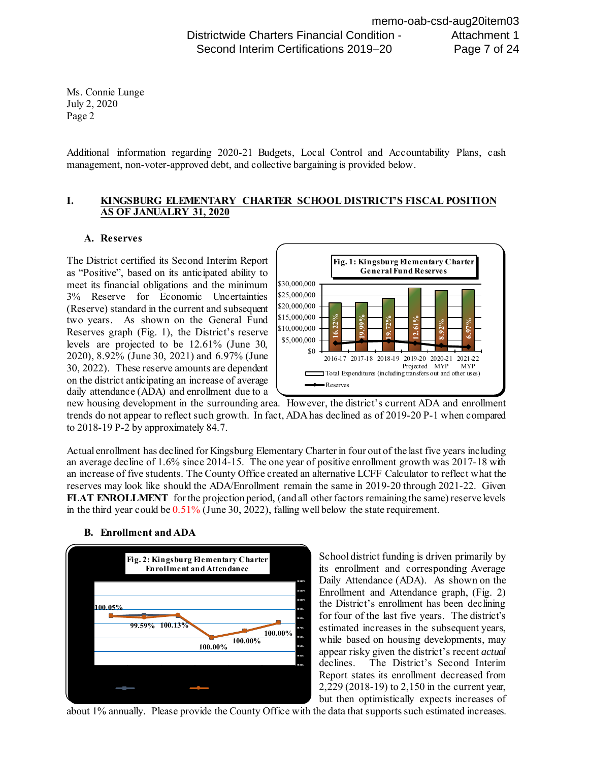Additional information regarding 2020-21 Budgets, Local Control and Accountability Plans, cash management, non-voter-approved debt, and collective bargaining is provided below.

#### **I. KINGSBURG ELEMENTARY CHARTER SCHOOL DISTRICT'S FISCAL POSITION AS OF JANUALRY 31, 2020**

#### **A. Reserves**

 meet its financial obligations and the minimum two years. As shown on the General Fund Reserves graph (Fig. 1), the District's reserve levels are projected to be 12.61% (June 30, 30, 2022). These reserve amounts are dependent daily attendance (ADA) and enrollment due to a The District certified its Second Interim Report as "Positive", based on its anticipated ability to 3% Reserve for Economic Uncertainties (Reserve) standard in the current and subsequent 2020), 8.92% (June 30, 2021) and 6.97% (June on the district anticipating an increase of average



to 2018-19 P-2 by approximately 84.7. trends do not appear to reflect such growth. In fact, ADA has declined as of 2019-20 P-1 when compared

to 2018-19 P-2 by approximately 84.7.<br>Actual enrollment has declined for Kingsburg Elementary Charter in four out of the last five years including an average decline of 1.6% since 2014-15. The one year of positive enrollment growth was 2017-18 with an increase of five students. The County Office created an alternative LCFF Calculator to reflect what the reserves may look like should the ADA/Enrollment remain the same in 2019-20 through 2021-22. Given **FLAT ENROLLMENT** for the projection period, (and all other factors remaining the same) reserve levels in the third year could be  $0.51\%$  (June 30, 2022), falling well below the state requirement.

#### **B. Enrollment and ADA**



 Daily Attendance (ADA). As shown on the for four of the last five years. The district's estimated increases in the subsequent years, Report states its enrollment decreased from School district funding is driven primarily by its enrollment and corresponding Average Enrollment and Attendance graph, (Fig. 2) the District's enrollment has been declining while based on housing developments, may appear risky given the district's recent *actual*  declines. The District's Second Interim 2,229 (2018-19) to 2,150 in the current year, but then optimistically expects increases of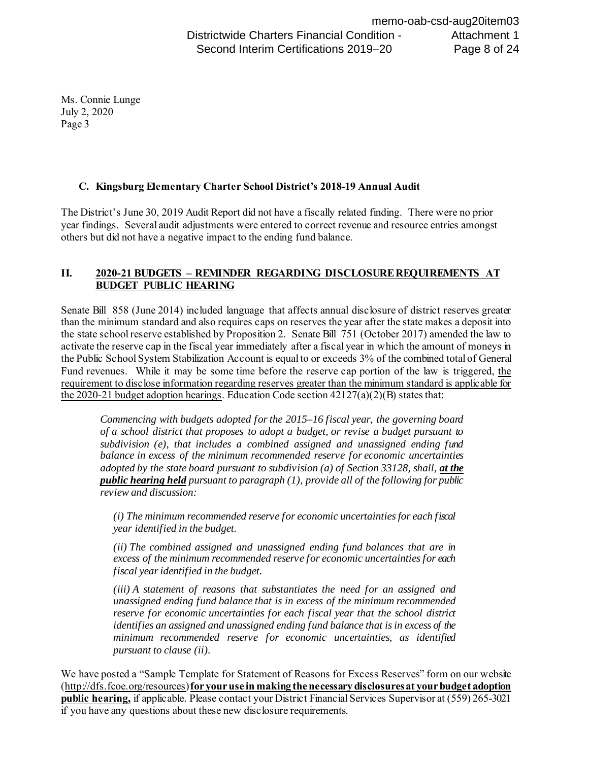### **C. Kingsburg Elementary Charter School District's 2018-19 Annual Audit**

 The District's June 30, 2019 Audit Report did not have a fiscally related finding. There were no prior year findings. Several audit adjustments were entered to correct revenue and resource entries amongst others but did not have a negative impact to the ending fund balance.

### **II. 2020-21 BUDGETS – REMINDER REGARDING DISCLOSURE REQUIREMENTS AT BUDGET PUBLIC HEARING**

 Senate Bill 858 (June 2014) included language that affects annual disclosure of district reserves greater than the minimum standard and also requires caps on reserves the year after the state makes a deposit into the state school reserve established by Proposition 2. Senate Bill 751 (October 2017) amended the law to Fund revenues. While it may be some time before the reserve cap portion of the law is triggered, the activate the reserve cap in the fiscal year immediately after a fiscal year in which the amount of moneys in the Public School System Stabilization Account is equal to or exceeds 3% of the combined total of General requirement to disclose information regarding reserves greater than the minimum standard is applicable for the 2020-21 budget adoption hearings. Education Code section  $42127(a)(2)(B)$  states that:

 *Commencing with budgets adopted for the 2015–16 fiscal year, the governing board of a school district that proposes to adopt a budget, or revise a budget pursuant to subdivision (e), that includes a combined assigned and unassigned ending fund balance in excess of the minimum recommended reserve for economic uncertainties*  adopted by the state board pursuant to subdivision (a) of Section 33128, shall, *at the public hearing held pursuant to paragraph (1), provide all of the following for public review and discussion:* 

 *(i) The minimum recommended reserve for economic uncertainties for each fiscal year identified in the budget.* 

 *(ii) The combined assigned and unassigned ending fund balances that are in excess of the minimum recommended reserve for economic uncertainties for each fiscal year identified in the budget.* 

 *(iii) A statement of reasons that substantiates the need for an assigned and unassigned ending fund balance that is in excess of the minimum recommended*  reserve for economic uncertainties for each fiscal year that the school district  *identifies an assigned and unassigned ending fund balance that is in excess of the minimum recommended reserve for economic uncertainties, as identified pursuant to clause (ii).* 

 We have posted a "Sample Template for Statement of Reasons for Excess Reserves" form on our website [\(http://dfs.fcoe.org/resources](http://dfs.fcoe.org/resources)) **for your use in making the necessary disclosures at your budget adoption public hearing,** if applicable. Please contact your District Financial Services Supervisor at (559) 265-3021 if you have any questions about these new disclosure requirements.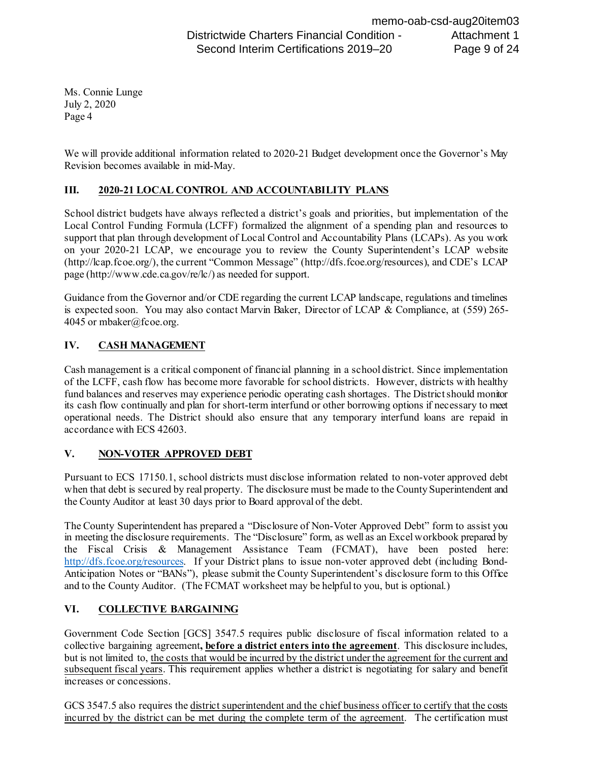We will provide additional information related to 2020-21 Budget development once the Governor's May Revision becomes available in mid-May.

## **III. 2020-21 LOCAL CONTROL AND ACCOUNTABILITY PLANS**

 School district budgets have always reflected a district's goals and priorities, but implementation of the Local Control Funding Formula (LCFF) formalized the alignment of a spending plan and resources to support that plan through development of Local Control and Accountability Plans (LCAPs). As you work on your 2020-21 LCAP, we encourage you to review the County Superintendent's LCAP website (http://lcap.fcoe.org/), the current "Common Message" (http://dfs.fcoe.org/resources), and CDE's LCAP page (http://www.cde.ca.gov/re/lc/) as needed for support.

 is expected soon. You may also contact Marvin Baker, Director of LCAP & Compliance, at (559) 265- Guidance from the Governor and/or CDE regarding the current LCAP landscape, regulations and timelines 4045 or mbaker@fcoe.org.

## **IV. CASH MANAGEMENT**

 Cash management is a critical component of financial planning in a school district. Since implementation of the LCFF, cash flow has become more favorable for school districts. However, districts with healthy fund balances and reserves may experience periodic operating cash shortages. The District should monitor its cash flow continually and plan for short-term interfund or other borrowing options if necessary to meet operational needs. The District should also ensure that any temporary interfund loans are repaid in accordance with ECS 42603.

### **V. NON-VOTER APPROVED DEBT**

 the County Auditor at least 30 days prior to Board approval of the debt. Pursuant to ECS 17150.1, school districts must disclose information related to non-voter approved debt when that debt is secured by real property. The disclosure must be made to the County Superintendent and

[http://dfs.fcoe.org/resources.](http://dfs.fcoe.org/resources) If your District plans to issue non-voter approved debt (including Bond- and to the County Auditor. (The FCMAT worksheet may be helpful to you, but is optional.) The County Superintendent has prepared a "Disclosure of Non-Voter Approved Debt" form to assist you in meeting the disclosure requirements. The "Disclosure" form, as well as an Excel workbook prepared by the Fiscal Crisis & Management Assistance Team (FCMAT), have been posted here: Anticipation Notes or "BANs"), please submit the County Superintendent's disclosure form to this Office

# **VI. COLLECTIVE BARGAINING**

subsequent fiscal years. This requirement applies whether a district is negotiating for salary and benefit increases or concessions. Government Code Section [GCS] 3547.5 requires public disclosure of fiscal information related to a collective bargaining agreement**, before a district enters into the agreement**. This disclosure includes, but is not limited to, the costs that would be incurred by the district under the agreement for the current and

incurred by the district can be met during the complete term of the agreement. The certification must GCS 3547.5 also requires the district superintendent and the chief business officer to certify that the costs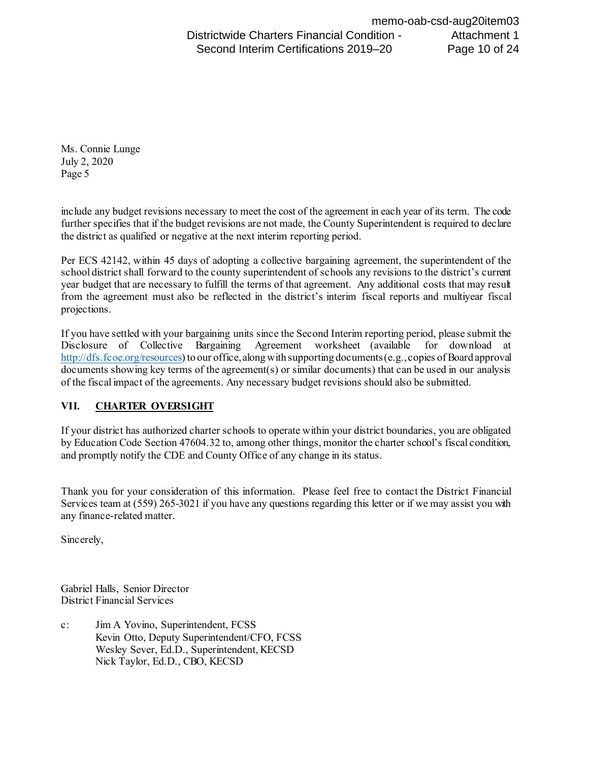the district as qualified or negative at the next interim reporting period. include any budget revisions necessary to meet the cost of the agreement in each year of its term. The code further specifies that if the budget revisions are not made, the County Superintendent is required to declare

 Per ECS 42142, within 45 days of adopting a collective bargaining agreement, the superintendent of the year budget that are necessary to fulfill the terms of that agreement. Any additional costs that may result from the agreement must also be reflected in the district's interim fiscal reports and multiyear fiscal school district shall forward to the county superintendent of schools any revisions to the district's current projections.

 Disclosure of Collective Bargaining Agreement worksheet (available for download at documents showing key terms of the agreement(s) or similar documents) that can be used in our analysis If you have settled with your bargaining units since the Second Interim reporting period, please submit the [http://dfs.fcoe.org/resources\)](http://dfs.fcoe.org/resources) to our office, along with supporting documents (e.g., copies of Board approval of the fiscal impact of the agreements. Any necessary budget revisions should also be submitted.

### **VII. CHARTER OVERSIGHT**

 and promptly notify the CDE and County Office of any change in its status. If your district has authorized charter schools to operate within your district boundaries, you are obligated by Education Code Section 47604.32 to, among other things, monitor the charter school's fiscal condition,

 Thank you for your consideration of this information. Please feel free to contact the District Financial Services team at (559) 265-3021 if you have any questions regarding this letter or if we may assist you with any finance-related matter.

Sincerely,

Gabriel Halls, Senior Director District Financial Services

 c: Jim A Yovino, Superintendent, FCSS Kevin Otto, Deputy Superintendent/CFO, FCSS Wesley Sever, Ed.D., Superintendent, KECSD Nick Taylor, Ed.D., CBO, KECSD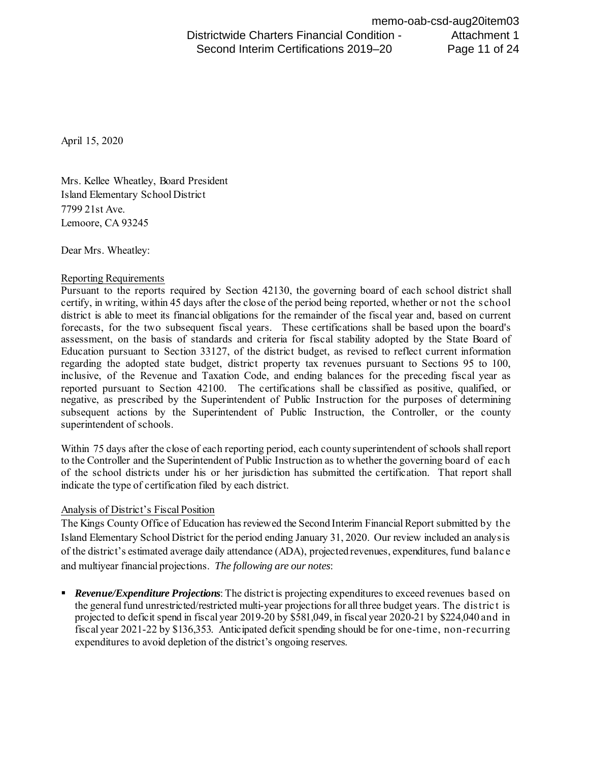April 15, 2020

 7799 21st Ave. Mrs. Kellee Wheatley, Board President Island Elementary School District Lemoore, CA 93245

Dear Mrs. Wheatley:

#### Reporting Requirements

 Pursuant to the reports required by Section 42130, the governing board of each school district shall certify, in writing, within 45 days after the close of the period being reported, whether or not the school forecasts, for the two subsequent fiscal years. These certifications shall be based upon the board's assessment, on the basis of standards and criteria for fiscal stability adopted by the State Board of regarding the adopted state budget, district property tax revenues pursuant to Sections 95 to 100, inclusive, of the Revenue and Taxation Code, and ending balances for the preceding fiscal year as reported pursuant to Section 42100. The certifications shall be classified as positive, qualified, or negative, as prescribed by the Superintendent of Public Instruction for the purposes of determining district is able to meet its financial obligations for the remainder of the fiscal year and, based on current Education pursuant to Section 33127, of the district budget, as revised to reflect current information subsequent actions by the Superintendent of Public Instruction, the Controller, or the county superintendent of schools.

 to the Controller and the Superintendent of Public Instruction as to whether the governing board of eac h of the school districts under his or her jurisdiction has submitted the certification. That report shall Within 75 days after the close of each reporting period, each county superintendent of schools shall report indicate the type of certification filed by each district.

### Analysis of District's Fiscal Position

 The Kings County Office of Education has reviewed the Second Interim Financial Report submitted by the Island Elementary School District for the period ending January 31, 2020. Our review included an analysis and multiyear financial projections. *The following are our notes*: of the district's estimated average daily attendance (ADA), projected revenues, expenditures, fund balance

 *Revenue/Expenditure Projections*: The district is projecting expenditures to exceed revenues based on projected to deficit spend in fiscal year 2019-20 by \$581,049, in fiscal year 2020-21 by \$224,040 and in the general fund unrestricted/restricted multi-year projections for all three budget years. The distric t is fiscal year 2021-22 by \$136,353. Anticipated deficit spending should be for one-time, non-recurring expenditures to avoid depletion of the district's ongoing reserves.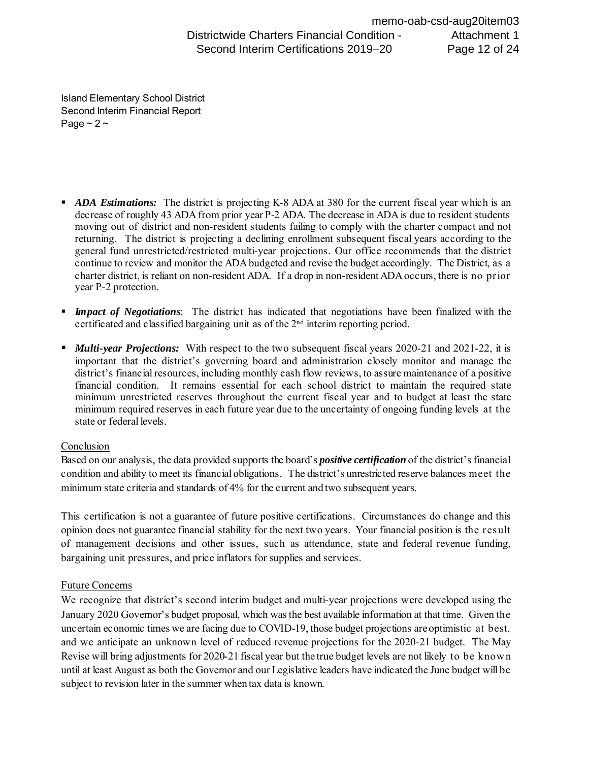Page  $\sim$  2  $\sim$ Island Elementary School District Second Interim Financial Report

- **ADA Estimations:** The district is projecting K-8 ADA at 380 for the current fiscal year which is an decrease of roughly 43 ADA from prior year P-2 ADA. The decrease in ADA is due to resident students returning. The district is projecting a declining enrollment subsequent fiscal years according to the general fund unrestricted/restricted multi-year projections. Our office recommends that the district continue to review and monitor the ADA budgeted and revise the budget accordingly. The District, as a charter district, is reliant on non-resident ADA. If a drop in non-resident ADA occurs, there is no prior moving out of district and non-resident students failing to comply with the charter compact and not year P-2 protection. **Substitution Contents Financial Condition**<br> **Second Interim Certifications 2019–20**<br> **Secrets of regulary 3.100 Form Financial Report**<br> **Page - 2 ~**<br> **ADA Extinations:** The district is projecting K-8 ADA at 380 for the c
- *Impact of Negotiations*: The district has indicated that negotiations have been finalized with the certificated and classified bargaining unit as of the 2nd interim reporting period.
- *Multi-year Projections:* With respect to the two subsequent fiscal years 2020-21 and 2021-22, it is important that the district's governing board and administration closely monitor and manage the minimum unrestricted reserves throughout the current fiscal year and to budget at least the state minimum required reserves in each future year due to the uncertainty of ongoing funding levels at the district's financial resources, including monthly cash flow reviews, to assure maintenance of a positive financial condition. It remains essential for each school district to maintain the required state state or federal levels.

### Conclusion

 condition and ability to meet its financial obligations. The district's unrestricted reserve balances meet the Based on our analysis, the data provided supports the board's *positive certification* of the district's financial minimum state criteria and standards of 4% for the current and two subsequent years.

 opinion does not guarantee financial stability for the next two years. Your financial position is the result of management decisions and other issues, such as attendance, state and federal revenue funding, This certification is not a guarantee of future positive certifications. Circumstances do change and this bargaining unit pressures, and price inflators for supplies and services.

### Future Concerns

 uncertain economic times we are facing due to COVID-19, those budget projections are optimistic at best, and we anticipate an unknown level of reduced revenue projections for the 2020-21 budget. The May Revise will bring adjustments for 2020-21 fiscal year but the true budget levels are not likely to be know n subject to revision later in the summer when tax data is known. We recognize that district's second interim budget and multi-year projections were developed using the January 2020 Governor's budget proposal, which was the best available information at that time. Given the until at least August as both the Governor and our Legislative leaders have indicated the June budget will be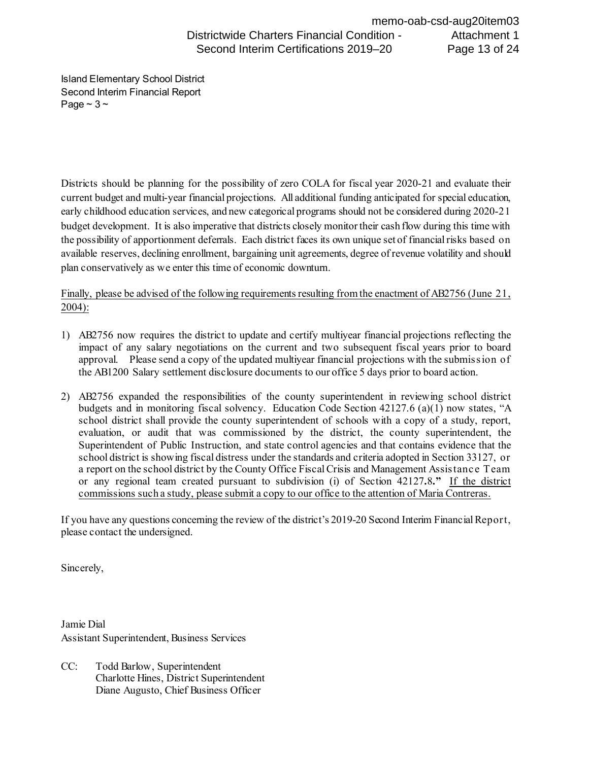Page  $\sim$  3  $\sim$ Island Elementary School District Second Interim Financial Report

 the possibility of apportionment deferrals. Each district faces its own unique set of financial risks based on plan conservatively as we enter this time of economic downturn. Districts should be planning for the possibility of zero COLA for fiscal year 2020-21 and evaluate their current budget and multi-year financial projections. All additional funding anticipated for special education, early childhood education services, and new categorical programs should not be considered during 2020-21 budget development. It is also imperative that districts closely monitor their cash flow during this time with available reserves, declining enrollment, bargaining unit agreements, degree of revenue volatility and should

Finally, please be advised of the following requirements resulting from the enactment of AB2756 (June 21, 2004):

- 1) AB2756 now requires the district to update and certify multiyear financial projections reflecting the impact of any salary negotiations on the current and two subsequent fiscal years prior to board approval. Please send a copy of the updated multiyear financial projections with the submission of the AB1200 Salary settlement disclosure documents to our office 5 days prior to board action.
- the AB1200 Salary settlement disclosure documents to our office 5 days prior to board action. 2) AB2756 expanded the responsibilities of the county superintendent in reviewing school district Superintendent of Public Instruction, and state control agencies and that contains evidence that the school district is showing fiscal distress under the standards and criteria adopted in Section 33127, or a report on the school district by the County Office Fiscal Crisis and Management Assistanc e Team  or any regional team created pursuant to subdivision (i) of Section 42127**.**8**."** If the district commissions such a study, please submit a copy to our office to the attention of Maria Contreras. budgets and in monitoring fiscal solvency. Education Code Section 42127.6 (a)(1) now states, "A school district shall provide the county superintendent of schools with a copy of a study, report, evaluation, or audit that was commissioned by the district, the county superintendent, the

 If you have any questions concerning the review of the district's 2019-20 Second Interim Financial Report, please contact the undersigned.

Sincerely,

Jamie Dial Assistant Superintendent, Business Services

CC: Todd Barlow, Superintendent Charlotte Hines, District Superintendent Diane Augusto, Chief Business Officer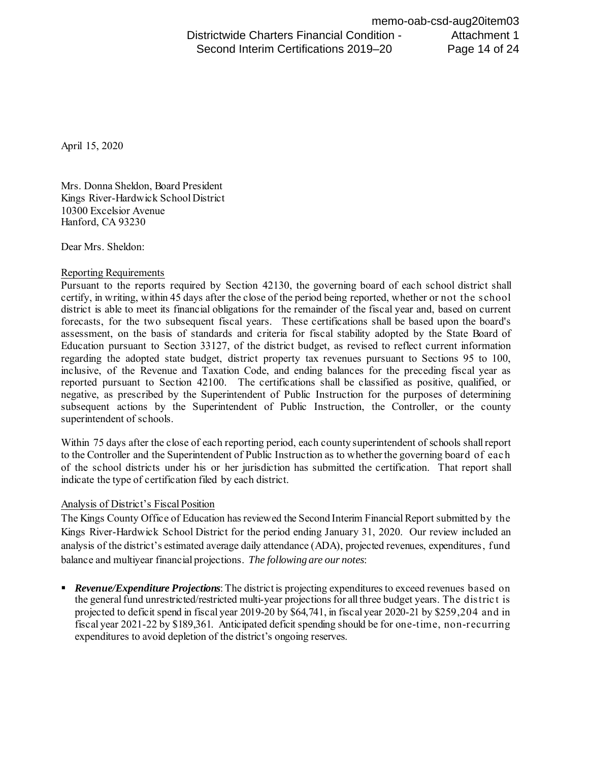April 15, 2020

Mrs. Donna Sheldon, Board President Kings River-Hardwick School District 10300 Excelsior Avenue Hanford, CA 93230

Dear Mrs. Sheldon:

#### Reporting Requirements

 Pursuant to the reports required by Section 42130, the governing board of each school district shall certify, in writing, within 45 days after the close of the period being reported, whether or not the school forecasts, for the two subsequent fiscal years. These certifications shall be based upon the board's assessment, on the basis of standards and criteria for fiscal stability adopted by the State Board of regarding the adopted state budget, district property tax revenues pursuant to Sections 95 to 100, inclusive, of the Revenue and Taxation Code, and ending balances for the preceding fiscal year as reported pursuant to Section 42100. The certifications shall be classified as positive, qualified, or negative, as prescribed by the Superintendent of Public Instruction for the purposes of determining district is able to meet its financial obligations for the remainder of the fiscal year and, based on current Education pursuant to Section 33127, of the district budget, as revised to reflect current information subsequent actions by the Superintendent of Public Instruction, the Controller, or the county superintendent of schools.

 to the Controller and the Superintendent of Public Instruction as to whether the governing board of eac h of the school districts under his or her jurisdiction has submitted the certification. That report shall Within 75 days after the close of each reporting period, each county superintendent of schools shall report indicate the type of certification filed by each district.

### Analysis of District's Fiscal Position

 The Kings County Office of Education has reviewed the Second Interim Financial Report submitted by the balance and multiyear financial projections. *The following are our notes*: Kings River-Hardwick School District for the period ending January 31, 2020. Our review included an analysis of the district's estimated average daily attendance (ADA), projected revenues, expenditures, fund

 *Revenue/Expenditure Projections*: The district is projecting expenditures to exceed revenues based on the general fund unrestricted/restricted multi-year projectionsfor all three budget years. The distric t is projected to deficit spend in fiscal year 2019-20 by \$64,741, in fiscal year 2020-21 by \$259,204 and in fiscal year 2021-22 by \$189,361. Anticipated deficit spending should be for one-time, non-recurring expenditures to avoid depletion of the district's ongoing reserves.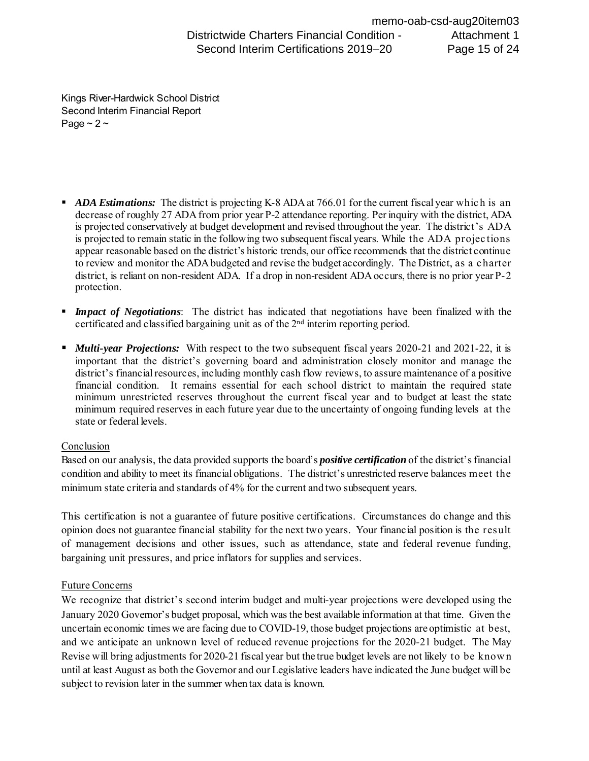Page  $\sim$  2  $\sim$ Kings River-Hardwick School District Second Interim Financial Report

- **ADA Estimations:** The district is projecting K-8 ADA at 766.01 for the current fiscal year which is an decrease of roughly 27 ADA from prior year P-2 attendance reporting. Per inquiry with the district, ADA is projected conservatively at budget development and revised throughout the year. The district's ADA is projected to remain static in the following two subsequent fiscal years. While the ADA projec tions to review and monitor the ADA budgeted and revise the budget accordingly. The District, as a c harter appear reasonable based on the district's historic trends, our office recommends that the district continue district, is reliant on non-resident ADA. If a drop in non-resident ADA occurs, there is no prior year P-2 protection. **Substitution Charters Financial Condition -** Second Interim Certifications 2019–20<br> **Second Interim Financial Report**<br> **Frogger 2.**<br> **Page - 2.**<br> **Page - 2.**<br> **Page - 2.**<br> **Page - 2.**<br> **Page - 2.**<br> **Page - 2.**<br> **Page - 2**
- *Impact of Negotiations*: The district has indicated that negotiations have been finalized with the certificated and classified bargaining unit as of the 2nd interim reporting period.
- *Multi-year Projections:* With respect to the two subsequent fiscal years 2020-21 and 2021-22, it is important that the district's governing board and administration closely monitor and manage the minimum unrestricted reserves throughout the current fiscal year and to budget at least the state minimum required reserves in each future year due to the uncertainty of ongoing funding levels at the district's financial resources, including monthly cash flow reviews, to assure maintenance of a positive financial condition. It remains essential for each school district to maintain the required state state or federal levels.

### **Conclusion**

 condition and ability to meet its financial obligations. The district's unrestricted reserve balances meet the Based on our analysis, the data provided supports the board's *positive certification* of the district's financial minimum state criteria and standards of 4% for the current and two subsequent years.

 opinion does not guarantee financial stability for the next two years. Your financial position is the result of management decisions and other issues, such as attendance, state and federal revenue funding, This certification is not a guarantee of future positive certifications. Circumstances do change and this bargaining unit pressures, and price inflators for supplies and services.

### Future Concerns

 uncertain economic times we are facing due to COVID-19, those budget projections are optimistic at best, and we anticipate an unknown level of reduced revenue projections for the 2020-21 budget. The May Revise will bring adjustments for 2020-21 fiscal year but the true budget levels are not likely to be know n subject to revision later in the summer when tax data is known. We recognize that district's second interim budget and multi-year projections were developed using the January 2020 Governor's budget proposal, which was the best available information at that time. Given the until at least August as both the Governor and our Legislative leaders have indicated the June budget will be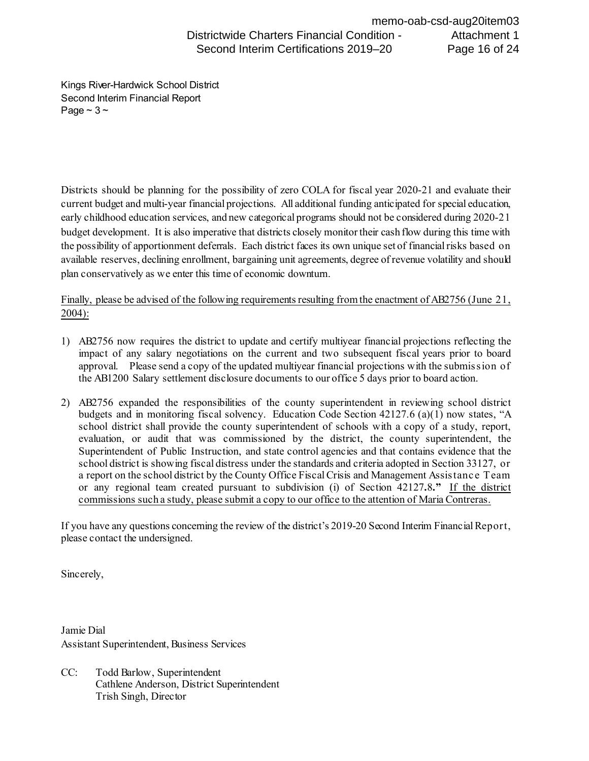Page  $\sim$  3  $\sim$ Kings River-Hardwick School District Second Interim Financial Report

 the possibility of apportionment deferrals. Each district faces its own unique set of financial risks based on plan conservatively as we enter this time of economic downturn. Districts should be planning for the possibility of zero COLA for fiscal year 2020-21 and evaluate their current budget and multi-year financial projections. All additional funding anticipated for special education, early childhood education services, and new categorical programs should not be considered during 2020-21 budget development. It is also imperative that districts closely monitor their cash flow during this time with available reserves, declining enrollment, bargaining unit agreements, degree of revenue volatility and should

plan conservatively as we enter this time of economic downturn.<br>Finally, please be advised of the following requirements resulting from the enactment of AB2756 (June 21, 2004):

- 1) AB2756 now requires the district to update and certify multiyear financial projections reflecting the impact of any salary negotiations on the current and two subsequent fiscal years prior to board approval. Please send a copy of the updated multiyear financial projections with the submission of the AB1200 Salary settlement disclosure documents to our office 5 days prior to board action.
- evaluation, or audit that was commissioned by the district, the county superintendent, the Superintendent of Public Instruction, and state control agencies and that contains evidence that the school district is showing fiscal distress under the standards and criteria adopted in Section 33127, or a report on the school district by the County Office Fiscal Crisis and Management Assistanc e Team  or any regional team created pursuant to subdivision (i) of Section 42127**.**8**."** If the district 2) AB2756 expanded the responsibilities of the county superintendent in reviewing school district budgets and in monitoring fiscal solvency. Education Code Section 42127.6 (a)(1) now states, "A school district shall provide the county superintendent of schools with a copy of a study, report, commissions such a study, please submit a copy to our office to the attention of Maria Contreras.

 If you have any questions concerning the review of the district's 2019-20 Second Interim Financial Report, please contact the undersigned.

Sincerely,

Jamie Dial Assistant Superintendent, Business Services

CC: Todd Barlow, Superintendent Cathlene Anderson, District Superintendent Trish Singh, Director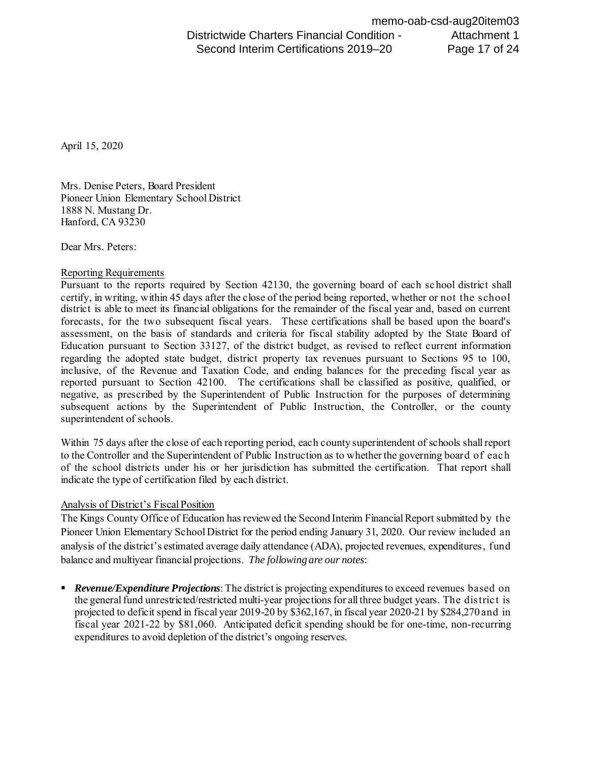April 15, 2020

 Hanford, CA 93230 Mrs. Denise Peters, Board President Pioneer Union Elementary School District 1888 N. Mustang Dr.

Dear Mrs. Peters:

### Reporting Requirements

 Pursuant to the reports required by Section 42130, the governing board of each sc hool district shall certify, in writing, within 45 days after the close of the period being reported, whether or not the school district is able to meet its financial obligations for the remainder of the fiscal year and, based on current forecasts, for the two subsequent fiscal years. These certifications shall be based upon the board's assessment, on the basis of standards and criteria for fiscal stability adopted by the State Board of Education pursuant to Section 33127, of the district budget, as revised to reflect current information regarding the adopted state budget, district property tax revenues pursuant to Sections 95 to 100, inclusive, of the Revenue and Taxation Code, and ending balances for the preceding fiscal year as reported pursuant to Section 42100. The certifications shall be classified as positive, qualified, or negative, as prescribed by the Superintendent of Public Instruction for the purposes of determining subsequent actions by the Superintendent of Public Instruction, the Controller, or the county superintendent of schools.

 Within 75 days after the close of each reporting period, each county superintendent of schools shall report to the Controller and the Superintendent of Public Instruction as to whether the governing board of eac h of the school districts under his or her jurisdiction has submitted the certification. That report shall indicate the type of certification filed by each district.

### Analysis of District's Fiscal Position

 The Kings County Office of Education has reviewed the Second Interim Financial Report submitted by the Pioneer Union Elementary School District for the period ending January 31, 2020. Our review included an analysis of the district's estimated average daily attendance (ADA), projected revenues, expenditures, fund balance and multiyear financial projections. *The following are our notes*:

**Revenue/Expenditure Projections**: The district is projecting expenditures to exceed revenues based on the general fund unrestricted/restricted multi-year projections for all three budget years. The distric t is projected to deficit spend in fiscal year 2019-20 by \$362,167, in fiscal year 2020-21 by \$284,270 and in fiscal year 2021-22 by \$81,060. Anticipated deficit spending should be for one-time, non-recurring expenditures to avoid depletion of the district's ongoing reserves.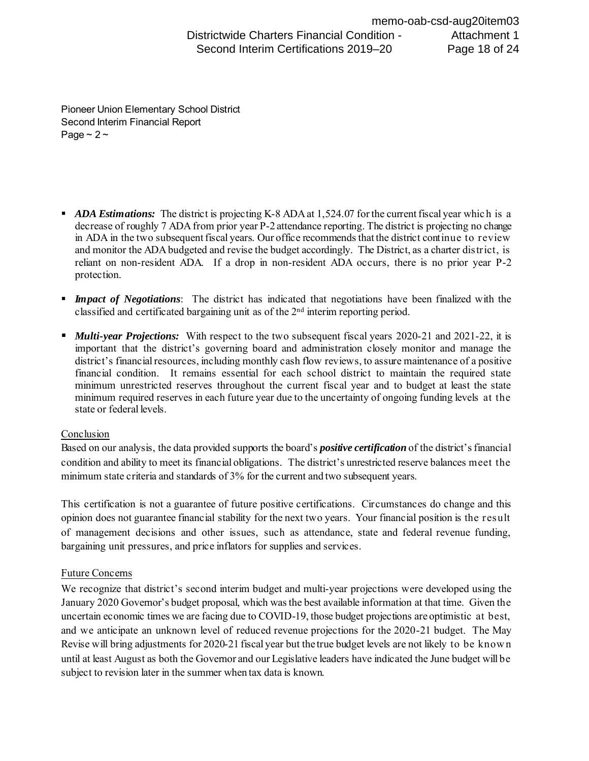Second Interim Financial Report Page  $\sim$  2  $\sim$ Pioneer Union Elementary School District

- *ADA Estimations:* The district is projecting K-8 ADA at 1,524.07 for the current fiscal year which is a decrease of roughly 7 ADA from prior year P-2 attendance reporting. The district is projecting no change in ADA in the two subsequent fiscal years. Our office recommends that the district continue to review and monitor the ADA budgeted and revise the budget accordingly. The District, as a charter district, is reliant on non-resident ADA. If a drop in non-resident ADA occurs, there is no prior year P-2 protection.
- *Impact of Negotiations*: The district has indicated that negotiations have been finalized with the classified and certificated bargaining unit as of the  $2<sup>nd</sup>$  interim reporting period.
- *Multi-year Projections:* With respect to the two subsequent fiscal years 2020-21 and 2021-22, it is important that the district's governing board and administration closely monitor and manage the district's financial resources, including monthly cash flow reviews, to assure maintenance of a positive financial condition. It remains essential for each school district to maintain the required state minimum unrestricted reserves throughout the current fiscal year and to budget at least the state minimum required reserves in each future year due to the uncertainty of ongoing funding levels at the state or federal levels.

#### **Conclusion**

 Based on our analysis, the data provided supports the board's *positive certification* of the district'sfinancial condition and ability to meet its financial obligations. The district's unrestricted reserve balances meet the minimum state criteria and standards of 3% for the current and two subsequent years.

 This certification is not a guarantee of future positive certifications. Circumstances do change and this opinion does not guarantee financial stability for the next two years. Your financial position is the result of management decisions and other issues, such as attendance, state and federal revenue funding, bargaining unit pressures, and price inflators for supplies and services.

### Future Concerns

 We recognize that district's second interim budget and multi-year projections were developed using the January 2020 Governor's budget proposal, which wasthe best available information at that time. Given the uncertain economic times we are facing due to COVID-19, those budget projections are optimistic at best, and we anticipate an unknown level of reduced revenue projections for the 2020-21 budget. The May Revise will bring adjustments for 2020-21 fiscal year but the true budget levels are not likely to be know n until at least August as both the Governor and our Legislative leaders have indicated the June budget will be subject to revision later in the summer when tax data is known.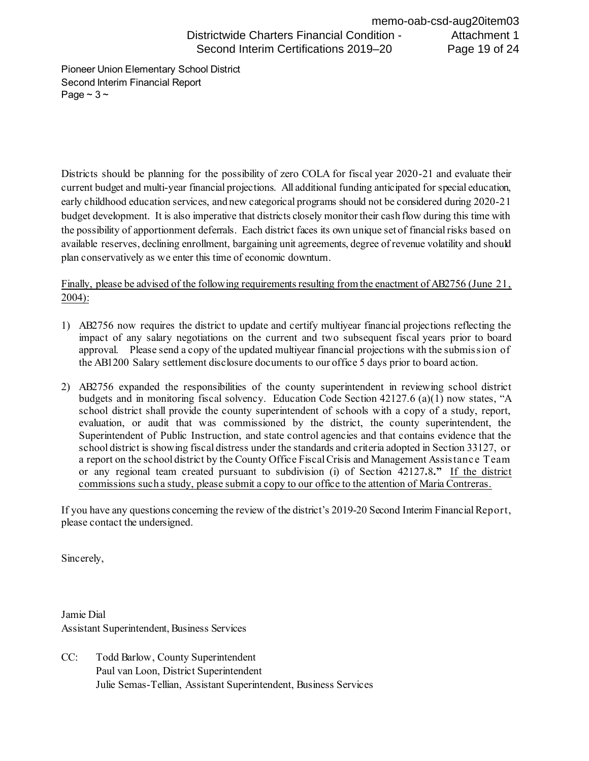Second Interim Financial Report Page  $\sim$  3  $\sim$ Pioneer Union Elementary School District

 Districts should be planning for the possibility of zero COLA for fiscal year 2020-21 and evaluate their current budget and multi-year financial projections. All additional funding anticipated for special education, early childhood education services, and new categorical programs should not be considered during 2020-21 budget development. It is also imperative that districts closely monitor their cash flow during this time with the possibility of apportionment deferrals. Each district faces its own unique set of financial risks based on available reserves, declining enrollment, bargaining unit agreements, degree of revenue volatility and should plan conservatively as we enter this time of economic downturn.

Finally, please be advised of the following requirements resulting from the enactment of AB2756 (June 21, 2004):

- 1) AB2756 now requires the district to update and certify multiyear financial projections reflecting the impact of any salary negotiations on the current and two subsequent fiscal years prior to board approval. Please send a copy of the updated multiyear financial projections with the submission of the AB1200 Salary settlement disclosure documents to our office 5 days prior to board action.
- 2) AB2756 expanded the responsibilities of the county superintendent in reviewing school district budgets and in monitoring fiscal solvency. Education Code Section 42127.6 (a)(1) now states, "A school district shall provide the county superintendent of schools with a copy of a study, report, evaluation, or audit that was commissioned by the district, the county superintendent, the Superintendent of Public Instruction, and state control agencies and that contains evidence that the school district is showing fiscal distress under the standards and criteria adopted in Section 33127, or a report on the school district by the County Office Fiscal Crisis and Management Assistanc e Team or any regional team created pursuant to subdivision (i) of Section 42127**.**8**."** If the district commissions such a study, please submit a copy to our office to the attention of Maria Contreras.

 If you have any questions concerning the review of the district's 2019-20 Second Interim Financial Report, please contact the undersigned.

Sincerely,

 Assistant Superintendent, Business Services Jamie Dial

 Paul van Loon, District Superintendent Julie Semas-Tellian, Assistant Superintendent, Business Services CC: Todd Barlow, County Superintendent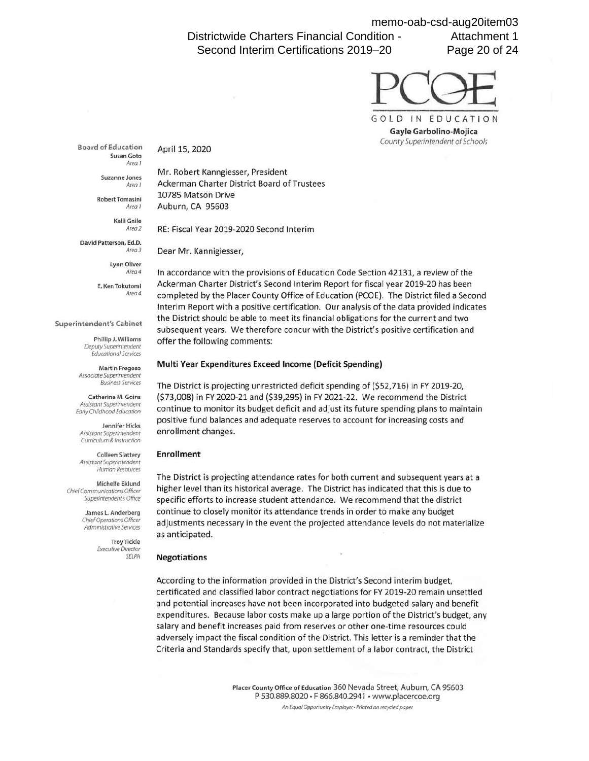Districtwide Charters Financial Condition - Second Interim Certifications 2019–20

memo-oab-csd-aug20item03 Attachment 1 Page 20 of 24



**Board of Education**  Susan Goto Area 1

April 15, 2020

Suzanne Jones

Area I Robert Tomasini

Area 1

Kelli Gnile Area2

David Patterson, Ed.D. Area3

> Lynn Oliver Area4

E. Ken Tokutomi Area 4

**Superintendent's Cabinet** 

Phillip J. Williams Deputy Superintendent Educational Services

Martin Fregoso Associate Superintendent Business Services

Catherine M. Goins Assistant Superintendent Early Childhood Education

Jennifer Hicks Assistant Superintendent Curriculum & Instruction

Colleen Slattery Assistant Superintendent Human Resources

Michelle Eklund Chief Communications Officer Superintendent's Office

> James L. Anderberg Chief Operations Officer Administrative Services

> > Troy Tickle Executive Director **SELPA**

Mr. Robert Kanngiesser, President Ackerman Charter District Board of Trustees 10785 Matson Drive Auburn, CA 95603

RE: Fiscal Year 2019-2020 Second Interim

Dear Mr. Kannigiesser,

In accordance with the provisions of Education Code Section 42131, a review of the Ackerman Charter District's Second Interim Report for fiscal year 2019-20 has been completed by the Placer County Office of Education (PCOE). The District filed a Second Interim Report with a positive certification. Our analysis of the data provided indicates the District should be able to meet its financial obligations for the current and two subsequent years. We therefore concur with the District's positive certification and offer the following comments:

#### **Multi Year Expenditures Exceed Income {Deficit Spending)**

The District is projecting unrestricted deficit spending of (\$52,716) in FY 2019-20, (\$73,008) in FY 2020-21 and (\$39,295) in FY 2021-22. We recommend the District continue to monitor its budget deficit and adjust its future spending plans to maintain positive fund balances and adequate reserves to account for increasing costs and enrollment changes.

#### **Enrollment**

The District is projecting attendance rates for both current and subsequent years at a higher level than its historical average. The District has indicated that this is due to specific efforts to increase student attendance. We recommend that the district continue to closely monitor its attendance trends in order to make any budget adjustments necessary in the event the projected attendance levels do not materialize as anticipated.

#### **Negotiations**

According to the information provided in the District's Second interim budget, certificated and classified labor contract negotiations for FY 2019-20 remain unsettled and potential increases have not been incorporated into budgeted salary and benefit expenditures. Because labor costs make up a large portion of the District's budget, any salary and benefit increases paid from reserves or other one-time resources could adversely impact the fiscal condition of the District. This letter is a reminder that the Criteria and Standards specify that, upon settlement of a labor contract, the District

> **Placer County Office of Education** 360 Nevada Street, Auburn, CA 95603 P 530.889.8020 • F 866.840.2941 • www.placercoe.org An Equal Opportunity Employer • Printed on recycled paper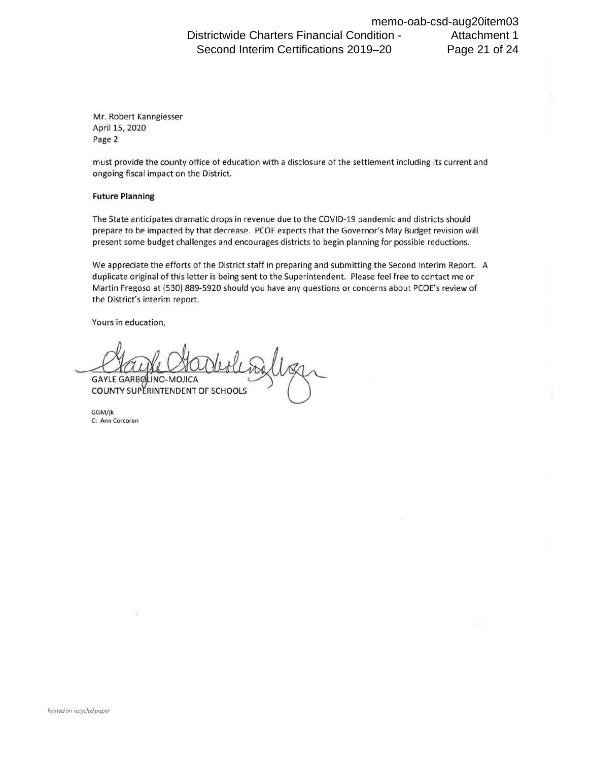Districtwide Charters Financial Condition - Second Interim Certifications 2019–20 memo-oab-csd-aug20item03 Attachment 1 Page 21 of 24

Mr. Robert Kanngiesser April 15, 2020 Page 2

must provide the county office of education with a disclosure of the settlement including its current and ongoing fiscal impact on the District.

#### **Future Planning**

The State anticipates dramatic drops in revenue due to the COVID-19 pandemic and districts should prepare to be impacted by that decrease. PCOE expects that the Governor's May Budget revision will present some budget challenges and encourages districts to begin planning for possible reductions.

We appreciate the efforts of the District staff in preparing and submitting the Second Interim Report. A duplicate original of this letter is being sent to the Superintendent. Please feel free to contact me or Martin Fregoso at (530) 889-5920 should you have any questions or concerns about PCOE's review of the District's interim report.

Yours in education,

**GAYLE GARBO**  $IMO-MOHCA$ COUNTY SUPERINTENDENT OF SCHOOLS

GGM/jk C: Ann Corcoran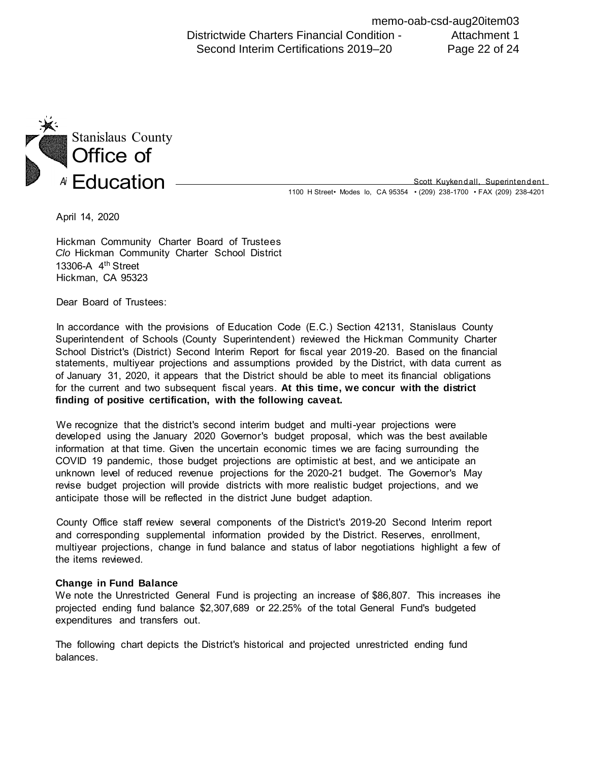Districtwide Charters Financial Condition - Second Interim Certifications 2019–20 memo-oab-csd-aug20item03 Attachment 1 Page 22 of 24



Education - Scott Kuykendall, Superintendent Scott Kuyken dall, Superintendent

April 14, 2020

 Hickman Community Charter Board of Trustees *Clo* Hickman Community Charter School District Hickman, CA 95323 13306-A 4th Street

Dear Board of Trustees:

 In accordance with the provisions of Education Code (E.C.) Section 42131, Stanislaus County Superintendent of Schools (County Superintendent) reviewed the Hickman Community Charter School District's (District) Second Interim Report for fiscal year 2019-20. Based on the financial statements, multiyear projections and assumptions provided by the District, with data current as of January 31, 2020, it appears that the District should be able to meet its financial obligations for the current and two subsequent fiscal years. **At this time, we concur with the district finding of positive certification, with the following caveat.** 

 We recognize that the district's second interim budget and multi-year projections were developed using the January 2020 Governor's budget proposal, which was the best available information at that time. Given the uncertain economic times we are facing surrounding the COVID 19 pandemic, those budget projections are optimistic at best, and we anticipate an unknown level of reduced revenue projections for the 2020-21 budget. The Governor's May revise budget projection will provide districts with more realistic budget projections, and we anticipate those will be reflected in the district June budget adaption.

 County Office staff review several components of the District's 2019-20 Second Interim report and corresponding supplemental information provided by the District. Reserves, enrollment, multiyear projections, change in fund balance and status of labor negotiations highlight a few of the items reviewed.

#### **Change in Fund Balance**

 We note the Unrestricted General Fund is projecting an increase of \$86,807. This increases ihe projected ending fund balance \$2,307,689 or 22.25% of the total General Fund's budgeted expenditures and transfers out.

 The following chart depicts the District's historical and projected unrestricted ending fund balances.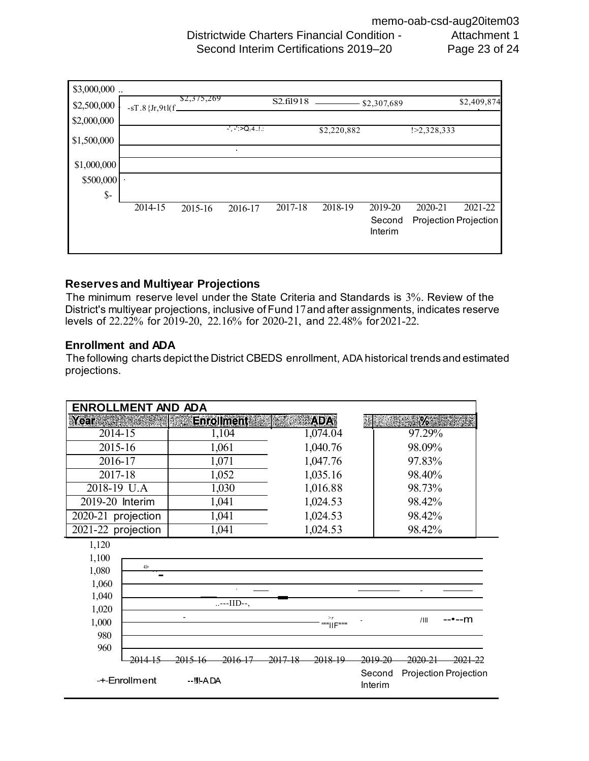Districtwide Charters Financial Condition - Second Interim Certifications 2019–20 memo-oab-csd-aug20item03 Attachment 1 Page 23 of 24



### **Reserves and Multiyear Projections**

 The minimum reserve level under the State Criteria and Standards is 3%. Review of the levels of 22.22% for 2019-20, 22.16% for 2020-21, and 22.48% for2021-22. District's multiyear projections, inclusive of Fund 17and after assignments, indicates reserve

### **Enrollment and ADA**

The following charts depict the District CBEDS enrollment, ADA historical trends and estimated projections.

| <b>ENROLLMENT AND ADA</b>                 |         |                      |                          |                    |                |                              |         |                                             |
|-------------------------------------------|---------|----------------------|--------------------------|--------------------|----------------|------------------------------|---------|---------------------------------------------|
| <b>Year</b>                               |         |                      | <b>Enrollment</b>        |                    | ADAI           |                              | $\%$ il |                                             |
|                                           | 2014-15 |                      | 1,104                    |                    | 1,074.04       |                              | 97.29%  |                                             |
| 2015-16                                   |         | 1,061                |                          |                    | 1,040.76       |                              | 98.09%  |                                             |
| 2016-17                                   |         | 1,071                |                          |                    | 1,047.76       |                              | 97.83%  |                                             |
| 2017-18                                   |         | 1,052                |                          |                    | 1,035.16       |                              | 98.40%  |                                             |
| 2018-19 U.A                               |         | 1,030                |                          |                    | 1,016.88       |                              | 98.73%  |                                             |
| 2019-20 Interim                           |         | 1,041                |                          |                    | 1,024.53       |                              | 98.42%  |                                             |
| 2020-21 projection                        |         |                      | 1,041                    |                    | 1,024.53       |                              | 98.42%  |                                             |
| 2021-22 projection                        |         |                      | 1,041                    |                    | 1,024.53       |                              | 98.42%  |                                             |
| 1,120<br>1,100<br>1,080<br>1,060<br>1,040 | 4 >     |                      | $\Lambda$<br>$--III$ --, |                    |                |                              |         |                                             |
| 1,020<br>1,000<br>980                     |         |                      |                          |                    | >r<br>""IIF""" |                              | /III    | --•--m                                      |
| 960<br>-+-Enrollment                      |         | 2015<br>$-$ !!!-A DA | <del>2016-17</del>       | <del>2017-18</del> | 2018-19        | 2019-20<br>Second<br>Interim | 2020-21 | <del>2021-22</del><br>Projection Projection |